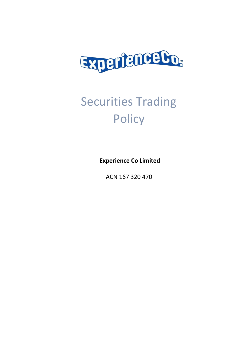

# Securities Trading **Policy**

**Experience Co Limited**

ACN 167 320 470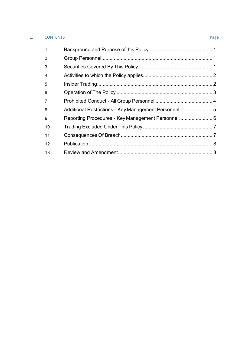# 1. CONTENTS Page

| $\mathbf{1}$   |  |
|----------------|--|
| $\overline{2}$ |  |
| 3              |  |
| $\overline{4}$ |  |
| 5              |  |
| 6              |  |
| 7              |  |
| 8              |  |
| 9              |  |
| 10             |  |
| 11             |  |
| 12             |  |
| 13             |  |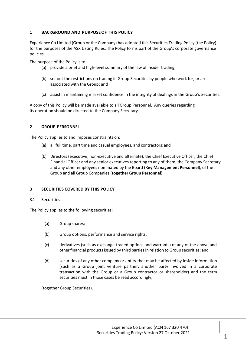# **1 BACKGROUND AND PURPOSEOF THIS POLICY**

Experience Co Limited (Group or the Company) has adopted this Securities Trading Policy (the Policy) for the purposes of the ASX Listing Rules. The Policy forms part of the Group's corporate governance policies.

The purpose of the Policy is to:

- (a) provide a brief and high-level summary of the law of insider trading;
- (b) set out the restrictions on trading in Group Securities by people who work for, or are associated with the Group; and
- (c) assist in maintaining market confidence in the integrity of dealings in the Group's Securities.

A copy of this Policy will be made available to all Group Personnel. Any queries regarding its operation should be directed to the Company Secretary.

# **2 GROUP PERSONNEL**

The Policy applies to and imposes constraints on:

- (a) all full time, part time and casual employees, and contractors; and
- (b) Directors (executive, non-executive and alternate), the Chief Executive Officer, the Chief Financial Officer and any senior executives reporting to any of them, the Company Secretary and any other employees nominated by the Board (**Key Management Personnel**), of the Group and all Group Companies (**together Group Personnel**).

# **3 SECURITIES COVERED BY THIS POLICY**

#### 3.1 Securities

The Policy applies to the following securities:

- (a) Group shares;
- (b) Group options, performance and service rights;
- (c) derivatives (such as exchange-traded options and warrants) of any of the above and other financial products issued by third parties in relation to Group securities; and
- (d) securities of any other company or entity that may be affected by inside information (such as a Group joint venture partner, another party involved in a corporate transaction with the Group or a Group contractor or shareholder) and the term securities must in those cases be read accordingly,

(together Group Securities).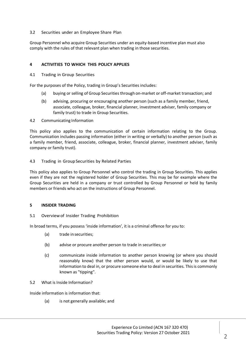# 3.2 Securities under an Employee Share Plan

Group Personnel who acquire Group Securities under an equity-based incentive plan must also comply with the rules of that relevant plan when trading in those securities.

# **4 ACTIVITIES TO WHICH THIS POLICY APPLIES**

4.1 Trading in Group Securities

For the purposes of the Policy, trading in Group's Securities includes:

- (a) buying or selling of Group Securities through on-market or off-market transaction; and
- (b) advising, procuring or encouraging another person (such as a family member, friend, associate, colleague, broker, financial planner, investment adviser, family company or family trust) to trade in Group Securities.

4.2 Communicating Information

This policy also applies to the communication of certain information relating to the Group. Communication includes passing information (either in writing or verbally) to another person (such as a family member, friend, associate, colleague, broker, financial planner, investment adviser, family company or family trust).

### 4.3 Trading in Group Securities by Related Parties

This policy also applies to Group Personnel who control the trading in Group Securities. This applies even if they are not the registered holder of Group Securities. This may be for example where the Group Securities are held in a company or trust controlled by Group Personnel or held by family members or friends who act on the instructions of Group Personnel.

#### **5 INSIDER TRADING**

# 5.1 Overviewof Insider Trading Prohibition

In broad terms, if you possess 'inside information', it is a criminal offence for you to:

- (a) trade insecurities;
- (b) advise or procure another person to trade in securities;or
- (c) communicate inside information to another person knowing (or where you should reasonably know) that the other person would, or would be likely to use that information to deal in, or procure someone else to deal in securities. This is commonly known as "tipping".
- 5.2 What is Inside Information?

Inside information is information that:

(a) is not generally available; and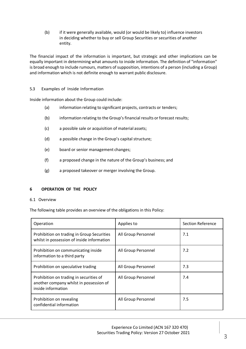(b) if it were generally available, would (or would be likely to) influence investors in deciding whether to buy or sell Group Securities or securities of another entity.

The financial impact of the information is important, but strategic and other implications can be equally important in determining what amounts to inside information. The definition of "information" is broad enough to include rumours, matters of supposition, intentions of a person (including a Group) and information which is not definite enough to warrant public disclosure.

# 5.3 Examples of Inside Information

Inside information about the Group could include:

- (a) information relating to significant projects, contracts or tenders;
- (b) information relating to the Group's financial results or forecast results;
- (c) a possible sale or acquisition of material assets;
- (d) a possible change in the Group's capital structure;
- (e) board or senior management changes;
- (f) a proposed change in the nature of the Group's business; and
- (g) a proposed takeover or merger involving the Group.

# **6 OPERATION OF THE POLICY**

#### 6.1 Overview

The following table provides an overview of the obligations in this Policy:

| Operation                                                                                                | Applies to          | <b>Section Reference</b> |
|----------------------------------------------------------------------------------------------------------|---------------------|--------------------------|
| Prohibition on trading in Group Securities<br>whilst in possession of inside information                 | All Group Personnel | 7.1                      |
| Prohibition on communicating inside<br>information to a third party                                      | All Group Personnel | 7.2                      |
| Prohibition on speculative trading                                                                       | All Group Personnel | 7.3                      |
| Prohibition on trading in securities of<br>another company whilst in possession of<br>inside information | All Group Personnel | 7.4                      |
| Prohibition on revealing<br>confidential information                                                     | All Group Personnel | 7.5                      |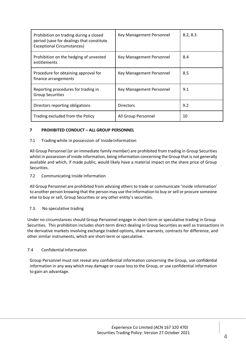| Prohibition on trading during a closed<br>period (save for dealings that constitute<br><b>Exceptional Circumstances)</b> | Key Management Personnel | 8.2, 8.3 |
|--------------------------------------------------------------------------------------------------------------------------|--------------------------|----------|
| Prohibition on the hedging of unvested<br>entitlements                                                                   | Key Management Personnel | 8.4      |
| Procedure for obtaining approval for<br>finance arrangements                                                             | Key Management Personnel | 8.5      |
| Reporting procedures for trading in<br><b>Group Securities</b>                                                           | Key Management Personnel | 9.1      |
| Directors reporting obligations                                                                                          | <b>Directors</b>         | 9.2      |
| Trading excluded from the Policy                                                                                         | All Group Personnel      | 10       |

# **7 PROHIBITED CONDUCT – ALL GROUP PERSONNEL**

# 7.1 Trading while in possession of Inside Information

All Group Personnel (or an immediate family member) are prohibited from trading in Group Securities whilst in possession of inside information, being information concerning the Group that is not generally available and which, if made public, would likely have a material impact on the share price of Group Securities.

#### 7.2 Communicating Inside Information

All Group Personnel are prohibited from advising others to trade or communicate 'inside information' to another person knowing that the person may use the information to buy orsell or procure someone else to buy or sell, Group Securities or any other entity's securities.

#### 7.3. No speculative trading

Under no circumstances should Group Personnel engage in short-term or speculative trading in Group Securities. This prohibition includes short-term direct dealing in Group Securities as well as transactions in the derivative markets involving exchange traded options, share warrants, contracts for difference, and other similar instruments, which are short-term or speculative.

# 7.4 Confidential Information

Group Personnel must not reveal any confidential information concerning the Group, use confidential information in any way which may damage or cause loss to the Group, or use confidential information to gain an advantage.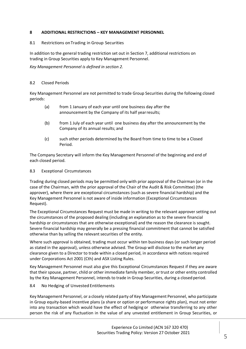# **8 ADDITIONAL RESTRICTIONS – KEY MANAGEMENT PERSONNEL**

### 8.1 Restrictions on Trading in Group Securities

In addition to the general trading restriction set out in Section 7, additional restrictions on trading in Group Securities apply to Key Management Personnel.

*Key Management Personnel is defined in section 2.*

### 8.2 Closed Periods

Key Management Personnel are not permitted to trade Group Securities during the following closed periods:

- (a) from 1 January of each year until one business day after the announcement by the Company of its half yearresults;
- (b) from 1 July of each year until one business day after the announcement by the Company of its annual results; and
- (c) such other periods determined by the Board from time to time to be a Closed Period.

The Company Secretary will inform the Key Management Personnel of the beginning and end of each closed period.

### 8.3 Exceptional Circumstances

Trading during closed periods may be permitted only with prior approval of the Chairman (or in the case of the Chairman, with the prior approval of the Chair of the Audit & Risk Committee) (the approver), where there are exceptional circumstances (such as severe financial hardship) and the Key Management Personnel is not aware of inside information (Exceptional Circumstances Request).

The Exceptional Circumstances Request must be made in writing to the relevant approver setting out the circumstances of the proposed dealing (including an explanation as to the severe financial hardship or circumstances that are otherwise exceptional) and the reason the clearance is sought. Severe financial hardship may generally be a pressing financial commitment that cannot be satisfied otherwise than by selling the relevant securities of the entity.

Where such approval is obtained, trading must occur within ten business days (or such longer period as stated in the approval), unless otherwise advised. The Group will disclose to the market any clearance given to a Director to trade within a closed period, in accordance with notices required under Corporations Act 2001 (Cth) and ASX Listing Rules.

Key Management Personnel must also give this Exceptional Circumstances Request if they are aware that their spouse, partner, child or other immediate family member, or trust or other entity controlled by the Key Management Personnel, intends to trade in Group Securities, during a closed period.

8.4 No Hedging of Unvested Entitlements

Key Management Personnel, or a closely related party of Key Management Personnel, who participate in Group equity-based incentive plans (a share or option or performance rights plan), must not enter into any transaction which would have the effect of hedging or otherwise transferring to any other person the risk of any fluctuation in the value of any unvested entitlement in Group Securities, or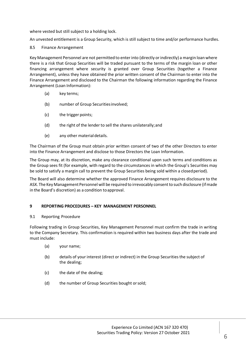where vested but still subject to a holding lock.

An unvested entitlement is a Group Security, which is still subject to time and/or performance hurdles.

### 8.5 Finance Arrangement

Key Management Personnel are not permitted to enter into (directly or indirectly) a margin loan where there is a risk that Group Securities will be traded pursuant to the terms of the margin loan or other financing arrangement where security is granted over Group Securities (together a Finance Arrangement), unless they have obtained the prior written consent of the Chairman to enter into the Finance Arrangement and disclosed to the Chairman the following information regarding the Finance Arrangement (Loan Information):

- (a) key terms;
- (b) number of Group Securitiesinvolved;
- (c) the trigger points;
- (d) the right of the lender to sell the shares unilaterally; and
- (e) any other materialdetails.

The Chairman of the Group must obtain prior written consent of two of the other Directors to enter into the Finance Arrangement and disclose to those Directors the Loan Information.

The Group may, at its discretion, make any clearance conditional upon such terms and conditions as the Group sees fit (for example, with regard to the circumstances in which the Group's Securities may be sold to satisfy a margin call to prevent the Group Securities being sold within a closedperiod).

The Board will also determine whether the approved Finance Arrangement requires disclosure to the ASX. The Key Management Personnel will be required to irrevocably consentto such disclosure (ifmade in the Board's discretion) as a condition toapproval.

#### **9 REPORTING PROCEDURES – KEY MANAGEMENT PERSONNEL**

#### 9.1 Reporting Procedure

Following trading in Group Securities, Key Management Personnel must confirm the trade in writing to the Company Secretary. This confirmation is required within two business days after the trade and must include:

- (a) your name;
- (b) details of your interest (direct or indirect) in the Group Securities the subject of the dealing;
- (c) the date of the dealing;
- (d) the number of Group Securities bought orsold;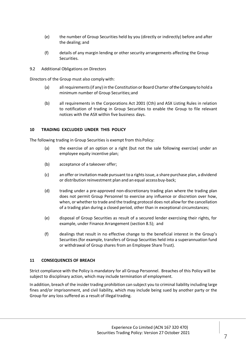- (e) the number of Group Securities held by you (directly or indirectly) before and after the dealing; and
- (f) details of any margin lending or other security arrangements affecting the Group Securities.
- 9.2 Additional Obligations on Directors

Directors of the Group must also comply with:

- (a) allrequirements(if any) in the Constitution or Board Charter of the Company to hold a minimum number of Group Securities;and
- (b) all requirements in the Corporations Act 2001 (Cth) and ASX Listing Rules in relation to notification of trading in Group Securities to enable the Group to file relevant notices with the ASX within five business days.

### **10 TRADING EXCLUDED UNDER THIS POLICY**

The following trading in Group Securities is exempt from this Policy:

- (a) the exercise of an option or a right (but not the sale following exercise) under an employee equity incentive plan;
- (b) acceptance of a takeover offer;
- (c) an offer or invitation made pursuant to a rights issue, a share purchase plan, a dividend or distribution reinvestment plan and an equal accessbuy-back;
- (d) trading under a pre-approved non-discretionary trading plan where the trading plan does not permit Group Personnel to exercise any influence or discretion over how, when, or whether to trade and the trading protocol does not allow for the cancellation of a trading plan during a closed period, other than in exceptional circumstances;
- (e) disposal of Group Securities as result of a secured lender exercising their rights, for example, under Finance Arrangement (section 8.5); and
- (f) dealings that result in no effective change to the beneficial interest in the Group's Securities (for example, transfers of Group Securities held into a superannuation fund or withdrawal of Group shares from an Employee Share Trust).

#### **11 CONSEQUENCES OF BREACH**

Strict compliance with the Policy is mandatory for all Group Personnel. Breaches of this Policy will be subject to disciplinary action, which may include termination of employment.

In addition, breach of the insider trading prohibition can subject you to criminal liability including large fines and/or imprisonment, and civil liability, which may include being sued by another party or the Group for any loss suffered as a result of illegal trading.